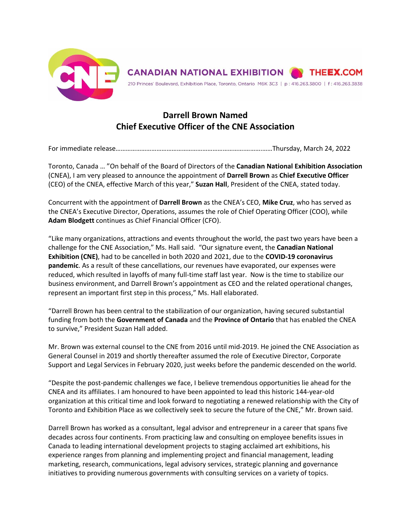

## **Darrell Brown Named Chief Executive Officer of the CNE Association**

For immediate release………………………………………………………………….……….……Thursday, March 24, 2022

Toronto, Canada … "On behalf of the Board of Directors of the **Canadian National Exhibition Association** (CNEA), I am very pleased to announce the appointment of **Darrell Brown** as **Chief Executive Officer** (CEO) of the CNEA, effective March of this year," **Suzan Hall**, President of the CNEA, stated today.

Concurrent with the appointment of **Darrell Brown** as the CNEA's CEO, **Mike Cruz**, who has served as the CNEA's Executive Director, Operations, assumes the role of Chief Operating Officer (COO), while **Adam Blodgett** continues as Chief Financial Officer (CFO).

"Like many organizations, attractions and events throughout the world, the past two years have been a challenge for the CNE Association," Ms. Hall said. "Our signature event, the **Canadian National Exhibition (CNE)**, had to be cancelled in both 2020 and 2021, due to the **COVID-19 coronavirus pandemic**. As a result of these cancellations, our revenues have evaporated, our expenses were reduced, which resulted in layoffs of many full-time staff last year. Now is the time to stabilize our business environment, and Darrell Brown's appointment as CEO and the related operational changes, represent an important first step in this process," Ms. Hall elaborated.

"Darrell Brown has been central to the stabilization of our organization, having secured substantial funding from both the **Government of Canada** and the **Province of Ontario** that has enabled the CNEA to survive," President Suzan Hall added.

Mr. Brown was external counsel to the CNE from 2016 until mid-2019. He joined the CNE Association as General Counsel in 2019 and shortly thereafter assumed the role of Executive Director, Corporate Support and Legal Services in February 2020, just weeks before the pandemic descended on the world.

"Despite the post-pandemic challenges we face, I believe tremendous opportunities lie ahead for the CNEA and its affiliates. I am honoured to have been appointed to lead this historic 144-year-old organization at this critical time and look forward to negotiating a renewed relationship with the City of Toronto and Exhibition Place as we collectively seek to secure the future of the CNE," Mr. Brown said.

Darrell Brown has worked as a consultant, legal advisor and entrepreneur in a career that spans five decades across four continents. From practicing law and consulting on employee benefits issues in Canada to leading international development projects to staging acclaimed art exhibitions, his experience ranges from planning and implementing project and financial management, leading marketing, research, communications, legal advisory services, strategic planning and governance initiatives to providing numerous governments with consulting services on a variety of topics.